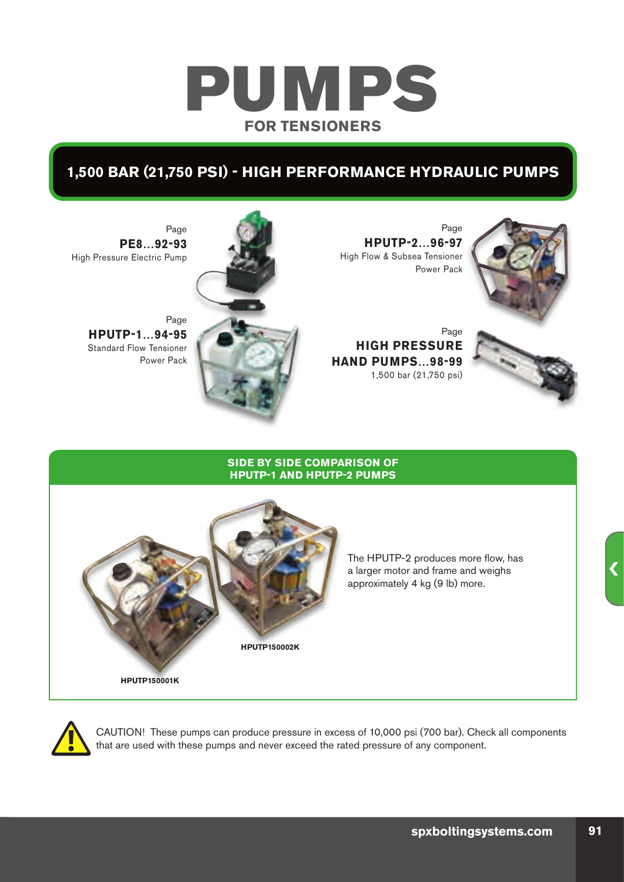# PUMPS **FOR TENSIONERS**

### **1,500 BAR (21,750 PSI) - HIGH PERFORMANCE HYDRAULIC PUMPS**



Page **HPUTP-2…96-97** High Flow & Subsea Tensioner Power Pack

 Page **HIGH PRESSURE HAND PUMPS…98-99** 1,500 bar (21,750 psi)





Page **PE8…92-93** High Pressure Electric Pump

Page **HPUTP-1…94-95** Standard Flow Tensioner Power Pack

#### **SIDE BY SIDE COMPARISON OF HPUTP-1 AND HPUTP-2 PUMPS**



The HPUTP-2 produces more flow, has a larger motor and frame and weighs approximately 4 kg (9 lb) more.



CAUTION! These pumps can produce pressure in excess of 10,000 psi (700 bar). Check all components that are used with these pumps and never exceed the rated pressure of any component.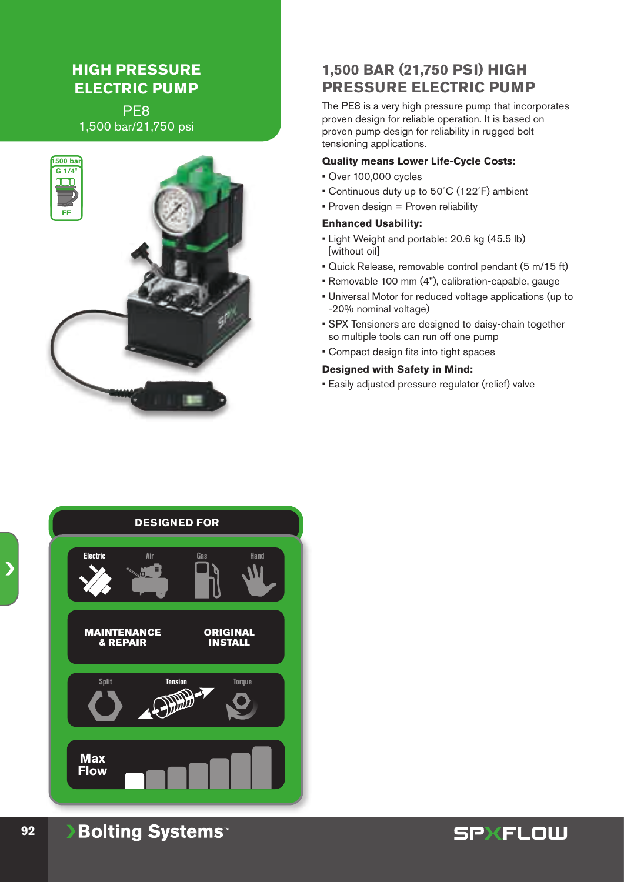### **HIGH PRESSURE ELECTRIC PUMP**

PE8 1,500 bar/21,750 psi



### **1,500 BAR (21,750 PSI) HIGH PRESSURE ELECTRIC PUMP**

The PE8 is a very high pressure pump that incorporates proven design for reliable operation. It is based on proven pump design for reliability in rugged bolt tensioning applications.

#### **Quality means Lower Life-Cycle Costs:**

- Over 100,000 cycles
- Continuous duty up to 50˚C (122˚F) ambient
- Proven design = Proven reliability

#### **Enhanced Usability:**

- Light Weight and portable: 20.6 kg (45.5 lb) [without oil]
- Quick Release, removable control pendant (5 m/15 ft)
- Removable 100 mm (4"), calibration-capable, gauge
- Universal Motor for reduced voltage applications (up to -20% nominal voltage)
- SPX Tensioners are designed to daisy-chain together so multiple tools can run off one pump
- Compact design fits into tight spaces

#### **Designed with Safety in Mind:**

• Easily adjusted pressure regulator (relief) valve



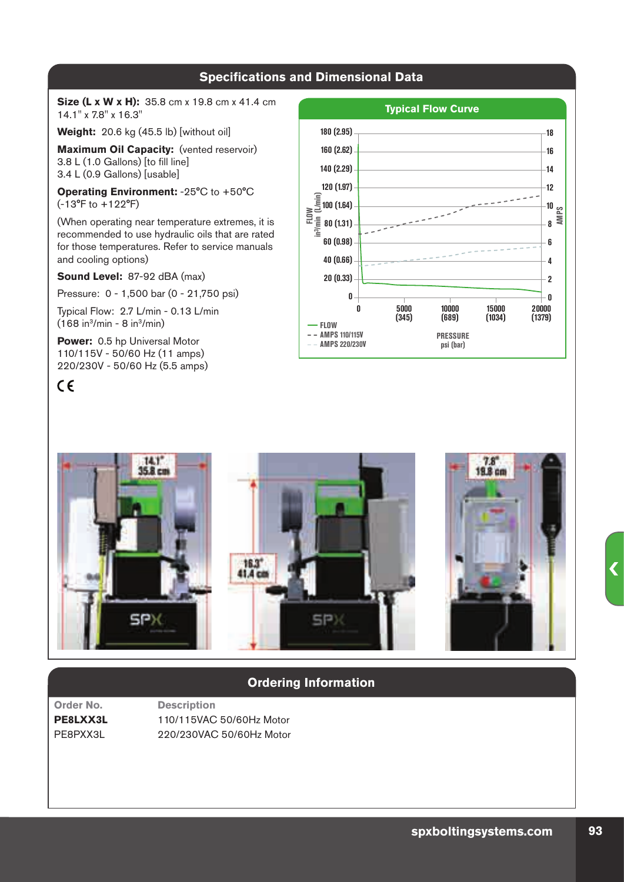**Size (L x W x H):** 35.8 cm x 19.8 cm x 41.4 cm 14.1" x 7.8" x 16.3"

**Weight:** 20.6 kg (45.5 lb) [without oil]

**Maximum Oil Capacity:** (vented reservoir) 3.8 L (1.0 Gallons) [to fill line] 3.4 L (0.9 Gallons) [usable]

**Operating Environment:** -25°C to +50°C (-13°F to +122°F)

(When operating near temperature extremes, it is recommended to use hydraulic oils that are rated for those temperatures. Refer to service manuals and cooling options)

**Sound Level:** 87-92 dBA (max)

Pressure: 0 - 1,500 bar (0 - 21,750 psi)

Typical Flow: 2.7 L/min - 0.13 L/min  $(168 in<sup>3</sup>/min - 8 in<sup>3</sup>/min)$ 

**Power:** 0.5 hp Universal Motor 110/115V - 50/60 Hz (11 amps) 220/230V - 50/60 Hz (5.5 amps)

### $\epsilon$





### **Ordering Information**

**Order No. Description PE8LXX3L** 110/115VAC 50/60Hz Motor PE8PXX3L 220/230VAC 50/60Hz Motor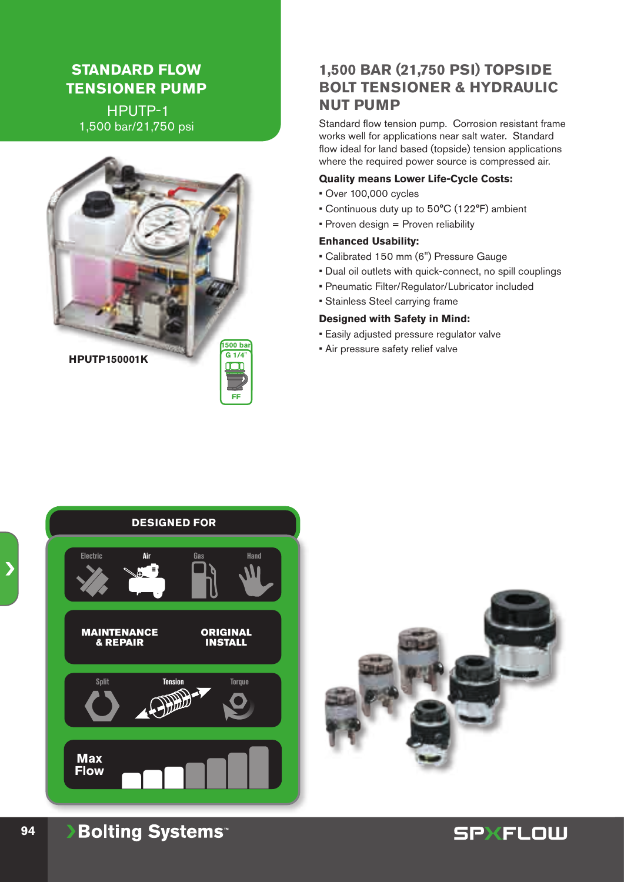### **STANDARD FLOW TENSIONER PUMP**

 HPUTP-1 1,500 bar/21,750 psi



### **1,500 BAR (21,750 PSI) TOPSIDE BOLT TENSIONER & HYDRAULIC NUT PUMP**

Standard flow tension pump. Corrosion resistant frame works well for applications near salt water. Standard flow ideal for land based (topside) tension applications where the required power source is compressed air.

#### **Quality means Lower Life-Cycle Costs:**

- Over 100,000 cycles
- Continuous duty up to 50°C (122°F) ambient
- Proven design = Proven reliability

#### **Enhanced Usability:**

- Calibrated 150 mm (6") Pressure Gauge
- Dual oil outlets with quick-connect, no spill couplings
- Pneumatic Filter/Regulator/Lubricator included
- Stainless Steel carrying frame

#### **Designed with Safety in Mind:**

- Easily adjusted pressure regulator valve
- Air pressure safety relief valve





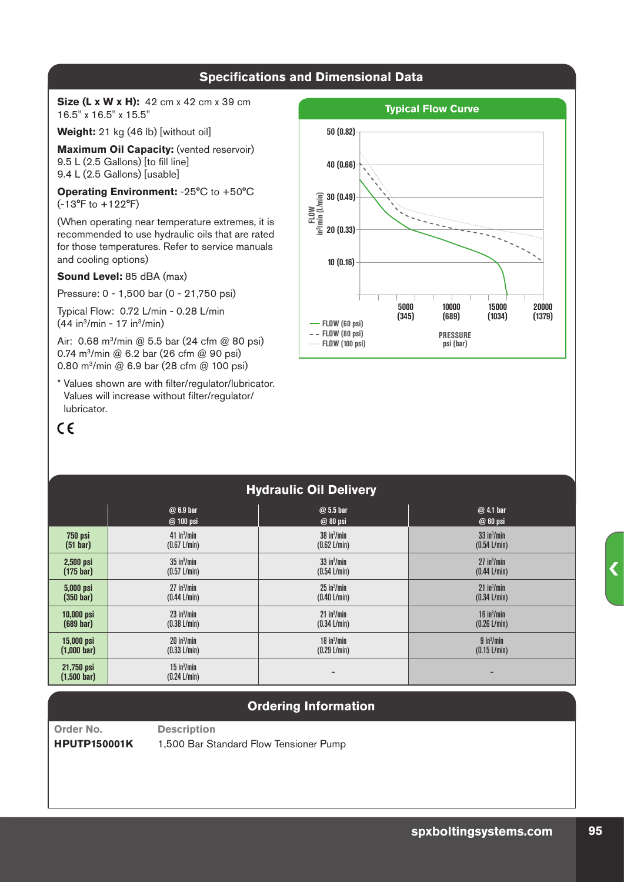**Size (L x W x H):** 42 cm x 42 cm x 39 cm 16.5" x 16.5" x 15.5"

Weight: 21 kg (46 lb) [without oil]

**Maximum Oil Capacity:** (vented reservoir) 9.5 L (2.5 Gallons) [to fill line] 9.4 L (2.5 Gallons) [usable]

**Operating Environment:** -25°C to +50°C (-13°F to +122°F)

(When operating near temperature extremes, it is recommended to use hydraulic oils that are rated for those temperatures. Refer to service manuals and cooling options)

#### **Sound Level:** 85 dBA (max)

Pressure: 0 - 1,500 bar (0 - 21,750 psi)

Typical Flow: 0.72 L/min - 0.28 L/min  $(44 in<sup>3</sup>/min - 17 in<sup>3</sup>/min)$ 

Air: 0.68 m<sup>3</sup>/min @ 5.5 bar (24 cfm @ 80 psi) 0.74 m3/min @ 6.2 bar (26 cfm @ 90 psi) 0.80 m3/min @ 6.9 bar (28 cfm @ 100 psi)

\* Values shown are with filter/regulator/lubricator. Values will increase without filter/regulator/ lubricator.

### $C \in$



### **Hydraulic Oil Delivery**

|                                     | @ 6.9 bar                        | $@5.5$ bar             | @ 4.1 bar        |
|-------------------------------------|----------------------------------|------------------------|------------------|
|                                     | @ 100 psi                        | @ 80 psi               | @ 60 psi         |
| <b>750 psi</b>                      | $41$ in $3$ /min                 | $38$ in $3$ /min       | $33$ in $3$ /min |
| (51 <sub>bar</sub> )                | $(0.67 \text{ L/min})$           | $(0.62 \text{ L/min})$ | $(0.54$ L/min)   |
| $2,500$ psi                         | $35$ in $3$ /min                 | $33$ in $3$ /min       | $27$ in $3$ /min |
| $(175 \text{ bar})$                 | $(0.57 \text{ L/min})$           | (0.54 L/min)           | (0.44 L/min)     |
| 5,000 psi                           | $27$ in $3$ /min                 | $25$ in $3$ /min       | $21$ in $3$ /min |
| (350 <sub>bar</sub> )               | $(0.44$ L/min)                   | (0.40 L/min)           | (0.34 L/min)     |
| 10,000 psi                          | $23$ in $3$ /min                 | $21$ in $3$ /min       | $16$ in $3$ /min |
| $(689 \text{ bar})$                 | $(0.38 \text{ L/min})$           | (0.34 L/min)           | (0.26 L/min)     |
| 15,000 psi                          | $20$ in $3$ /min                 | $18$ in $3$ /min       | $9$ in $3$ /min  |
| $(1,000 \text{ bar})$               | (0.33 L/min)                     | (0.29 L/min)           | (0.15 L/min)     |
| 21,750 psi<br>$(1,500 \text{ bar})$ | $15$ in $3$ /min<br>(0.24 L/min) | -                      | -                |

### **Ordering Information**

**Order No. Description**

**HPUTP150001K** 1,500 Bar Standard Flow Tensioner Pump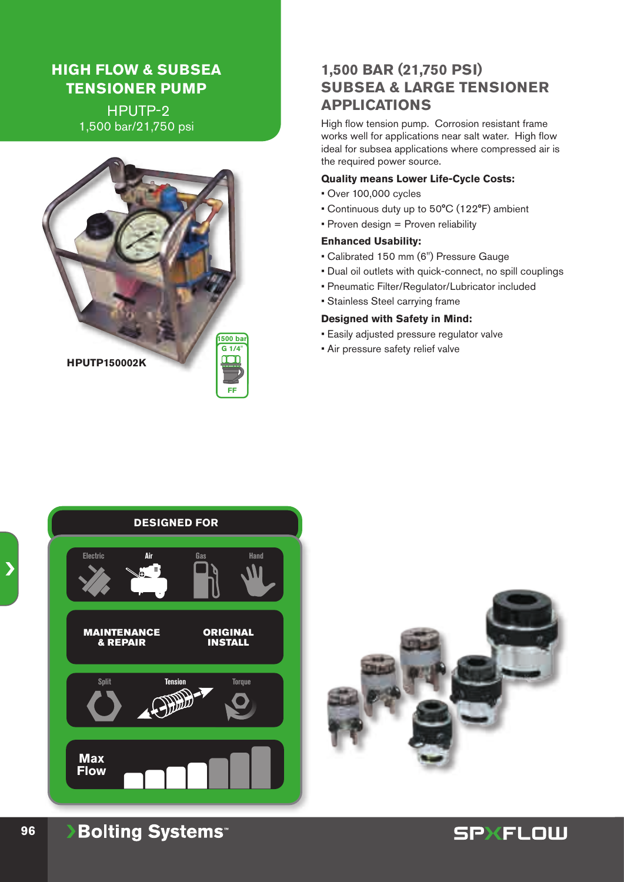### **HIGH FLOW & SUBSEA TENSIONER PUMP**

 HPUTP-2 1,500 bar/21,750 psi



### **1,500 BAR (21,750 PSI) SUBSEA & LARGE TENSIONER APPLICATIONS**

High flow tension pump. Corrosion resistant frame works well for applications near salt water. High flow ideal for subsea applications where compressed air is the required power source.

### **Quality means Lower Life-Cycle Costs:**

- Over 100,000 cycles
- Continuous duty up to 50°C (122°F) ambient
- Proven design = Proven reliability

#### **Enhanced Usability:**

- Calibrated 150 mm (6") Pressure Gauge
- Dual oil outlets with quick-connect, no spill couplings
- Pneumatic Filter/Regulator/Lubricator included
- Stainless Steel carrying frame

#### **Designed with Safety in Mind:**

- Easily adjusted pressure regulator valve
- Air pressure safety relief valve





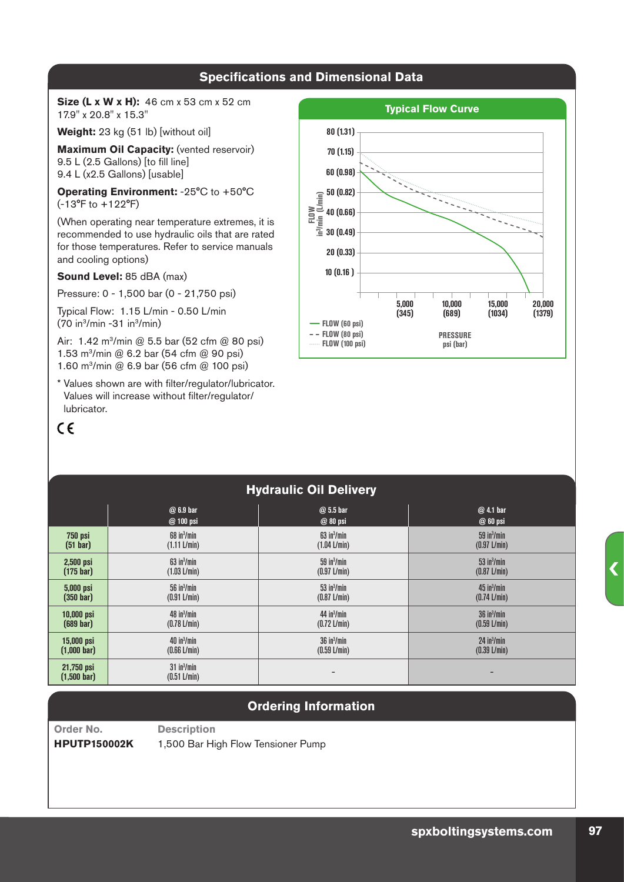**Size (L x W x H):** 46 cm x 53 cm x 52 cm 17.9" x 20.8" x 15.3"

Weight: 23 kg (51 lb) [without oil]

**Maximum Oil Capacity:** (vented reservoir) 9.5 L (2.5 Gallons) [to fill line] 9.4 L (x2.5 Gallons) [usable]

**Operating Environment:** -25°C to +50°C (-13°F to +122°F)

(When operating near temperature extremes, it is recommended to use hydraulic oils that are rated for those temperatures. Refer to service manuals and cooling options)

#### **Sound Level:** 85 dBA (max)

Pressure: 0 - 1,500 bar (0 - 21,750 psi)

Typical Flow: 1.15 L/min - 0.50 L/min  $(70 in<sup>3</sup>/min - 31 in<sup>3</sup>/min)$ 

Air: 1.42 m<sup>3</sup>/min @ 5.5 bar (52 cfm @ 80 psi) 1.53 m3/min @ 6.2 bar (54 cfm @ 90 psi) 1.60 m3/min @ 6.9 bar (56 cfm @ 100 psi)

\* Values shown are with filter/regulator/lubricator. Values will increase without filter/regulator/ lubricator.

### $C \in$



#### **Hydraulic Oil Delivery @ 6.9 bar @ 5.5 bar @ 4.1 bar @ 100 psi @ 80 psi @ 60 psi 750 psi (51 bar)** 68 in3 /min (1.11 L/min) 63 in3 /min (1.04 L/min) 59 in3 /min (0.97 L/min) **2,500 psi (175 bar)** 63 in3 /min (1.03 L/min) 59 in3 /min (0.97 L/min) 53 in3 /min (0.87 L/min) **5,000 psi (350 bar)** 56 in3 /min (0.91 L/min)  $53$  in $3$ /min (0.87 L/min) 45 in3 /min (0.74 L/min) **10,000 psi (689 bar)** 48 in3 /min (0.78 L/min) 44 in3 /min (0.72 L/min) 36 in3 /min (0.59 L/min) **15,000 psi (1,000 bar)** 40 in3 /min (0.66 L/min) 36 in3 /min (0.59 L/min)  $24$  in $3$ /min (0.39 L/min) **21,750 psi (1,500 bar)**  $31$  in $3$ /min сти поставили с поставили с поставили с поставили с поставили с поставили с поставили с поставили с поставили<br>(0.51 L/min)

### **Ordering Information**

**Order No. Description**

**HPUTP150002K** 1,500 Bar High Flow Tensioner Pump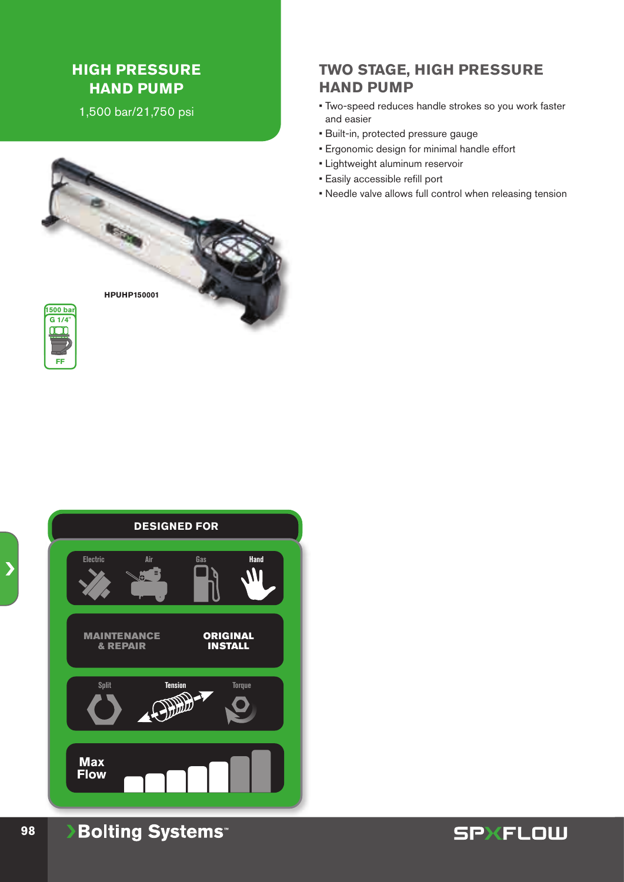### **HIGH PRESSURE HAND PUMP**

1,500 bar/21,750 psi





## **Max Flow DESIGNED FOR** ORIGINAL INSTALL MAINTENANCE & REPAIR **Electric Hand Split Air Gas Tension Torque**

### **Bolting Systems**

### **TWO STAGE, HIGH PRESSURE HAND PUMP**

- Two-speed reduces handle strokes so you work faster and easier
- Built-in, protected pressure gauge
- Ergonomic design for minimal handle effort
- Lightweight aluminum reservoir
- Easily accessible refill port
- Needle valve allows full control when releasing tension



**98**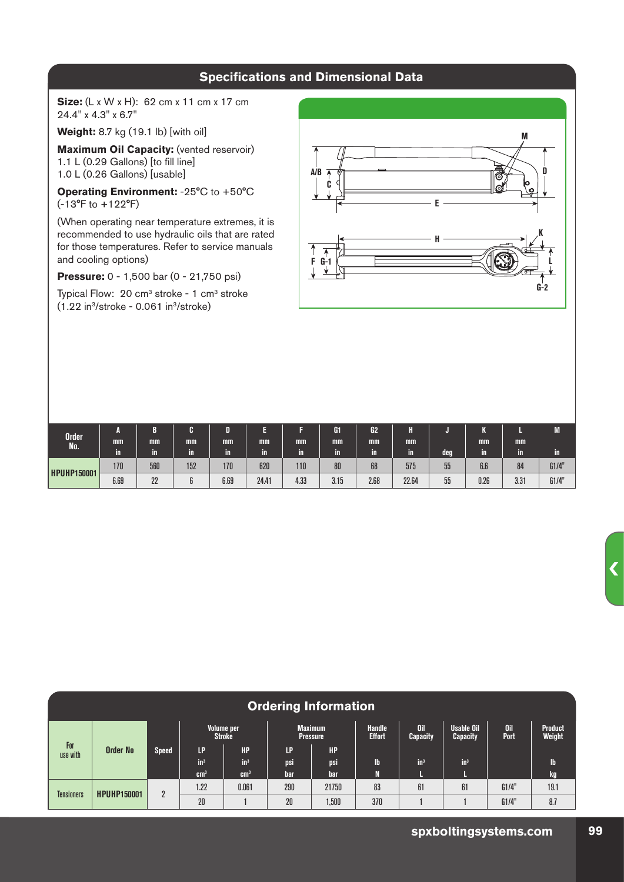**Size:** (L x W x H): 62 cm x 11 cm x 17 cm 24.4" x 4.3" x 6.7"

**Weight:** 8.7 kg (19.1 lb) [with oil]

**Maximum Oil Capacity:** (vented reservoir) 1.1 L (0.29 Gallons) [to fill line] 1.0 L (0.26 Gallons) [usable]

**Operating Environment:** -25°C to +50°C (-13°F to +122°F)

(When operating near temperature extremes, it is recommended to use hydraulic oils that are rated for those temperatures. Refer to service manuals and cooling options)

**Pressure:** 0 - 1,500 bar (0 - 21,750 psi)

Typical Flow:  $20 \text{ cm}^3$  stroke - 1  $\text{ cm}^3$  stroke  $(1.22 \text{ in}^3/\text{stroke} - 0.061 \text{ in}^3/\text{stroke})$ 



|                           | А    |     |     | D    |       |      | G1   | G <sub>2</sub> |       |     |      |      | M     |
|---------------------------|------|-----|-----|------|-------|------|------|----------------|-------|-----|------|------|-------|
| Order <sup>1</sup><br>No. | mm   | mm  | mm  | mm   | mm    | mm   | mm   | mm             | mm    |     | mm   | mm   |       |
|                           | m    | in  | in, | Ш    | Ш     | U.   | ĬΠ   | in             | Ш     | deg | in   | ١m.  | Ш     |
| <b>HPUHP150001</b>        | 170  | 560 | 152 | 170  | 620   | 110  | 80   | 68             | 575   | 55  | 6.6  | 84   | G1/4" |
|                           | 6.69 | 22  |     | 6.69 | 24.41 | 4.33 | 3.15 | 2.68           | 22.64 | 55  | 0.26 | 3.31 | G1/4" |

| <b>Ordering Information</b> |                    |                |                             |                 |                                   |           |                                |                               |                                      |                    |                          |
|-----------------------------|--------------------|----------------|-----------------------------|-----------------|-----------------------------------|-----------|--------------------------------|-------------------------------|--------------------------------------|--------------------|--------------------------|
|                             | <b>Order No</b>    | <b>Speed</b>   | Volume per<br><b>Stroke</b> |                 | <b>Maximum</b><br><b>Pressure</b> |           | <b>Handle</b><br><b>Effort</b> | <b>Oil</b><br><b>Capacity</b> | <b>Usable Oil</b><br><b>Capacity</b> | <b>Oil</b><br>Port | <b>Product</b><br>Weight |
| For<br>use with             |                    |                | LP                          | HP.             | LP                                | <b>HP</b> |                                |                               |                                      |                    |                          |
|                             |                    |                | in <sup>3</sup>             | $in^3$          | psi                               | psi       | lb                             | $in^3$                        | $\mathbf{in}^3$                      |                    | lb.                      |
|                             |                    |                | cm <sup>3</sup>             | cm <sup>3</sup> | bar                               | bar       |                                | ш.                            |                                      |                    | kg                       |
| <b>Tensioners</b>           | <b>HPUHP150001</b> | $\overline{2}$ | 1.22                        | 0.061           | 290                               | 21750     | 83                             | 61                            | 61                                   | G1/4"              | 19.1                     |
|                             |                    |                | 20                          |                 | 20                                | 1,500     | 370                            |                               |                                      | G1/4"              | 8.7                      |

 $\overline{\mathbf{C}}$